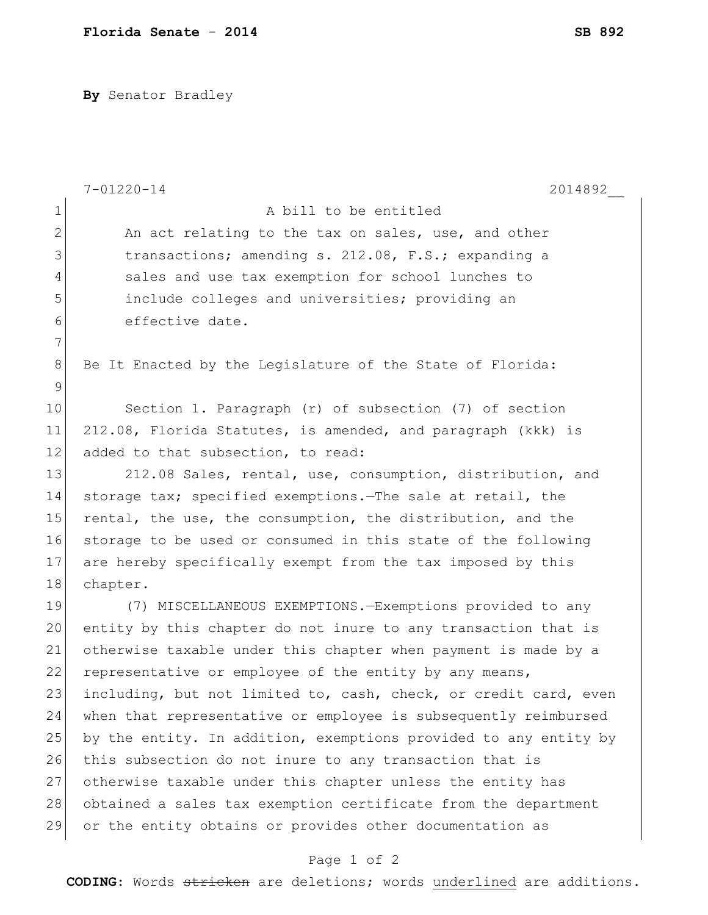**By** Senator Bradley

|              | $7 - 01220 - 14$<br>2014892                                      |
|--------------|------------------------------------------------------------------|
| $\mathbf 1$  | A bill to be entitled                                            |
| $\mathbf{2}$ | An act relating to the tax on sales, use, and other              |
| 3            | transactions; amending s. 212.08, F.S.; expanding a              |
| 4            | sales and use tax exemption for school lunches to                |
| 5            | include colleges and universities; providing an                  |
| 6            | effective date.                                                  |
| 7            |                                                                  |
| 8            | Be It Enacted by the Legislature of the State of Florida:        |
| 9            |                                                                  |
| 10           | Section 1. Paragraph (r) of subsection (7) of section            |
| 11           | 212.08, Florida Statutes, is amended, and paragraph (kkk) is     |
| 12           | added to that subsection, to read:                               |
| 13           | 212.08 Sales, rental, use, consumption, distribution, and        |
| 14           | storage tax; specified exemptions. The sale at retail, the       |
| 15           | rental, the use, the consumption, the distribution, and the      |
| 16           | storage to be used or consumed in this state of the following    |
| 17           | are hereby specifically exempt from the tax imposed by this      |
| 18           | chapter.                                                         |
| 19           | (7) MISCELLANEOUS EXEMPTIONS. - Exemptions provided to any       |
| 20           | entity by this chapter do not inure to any transaction that is   |
| 21           | otherwise taxable under this chapter when payment is made by a   |
| 22           | representative or employee of the entity by any means,           |
| 23           | including, but not limited to, cash, check, or credit card, even |
| 24           | when that representative or employee is subsequently reimbursed  |
| 25           | by the entity. In addition, exemptions provided to any entity by |
| 26           | this subsection do not inure to any transaction that is          |
| 27           | otherwise taxable under this chapter unless the entity has       |
| 28           | obtained a sales tax exemption certificate from the department   |
| 29           | or the entity obtains or provides other documentation as         |

## Page 1 of 2

**CODING**: Words stricken are deletions; words underlined are additions.